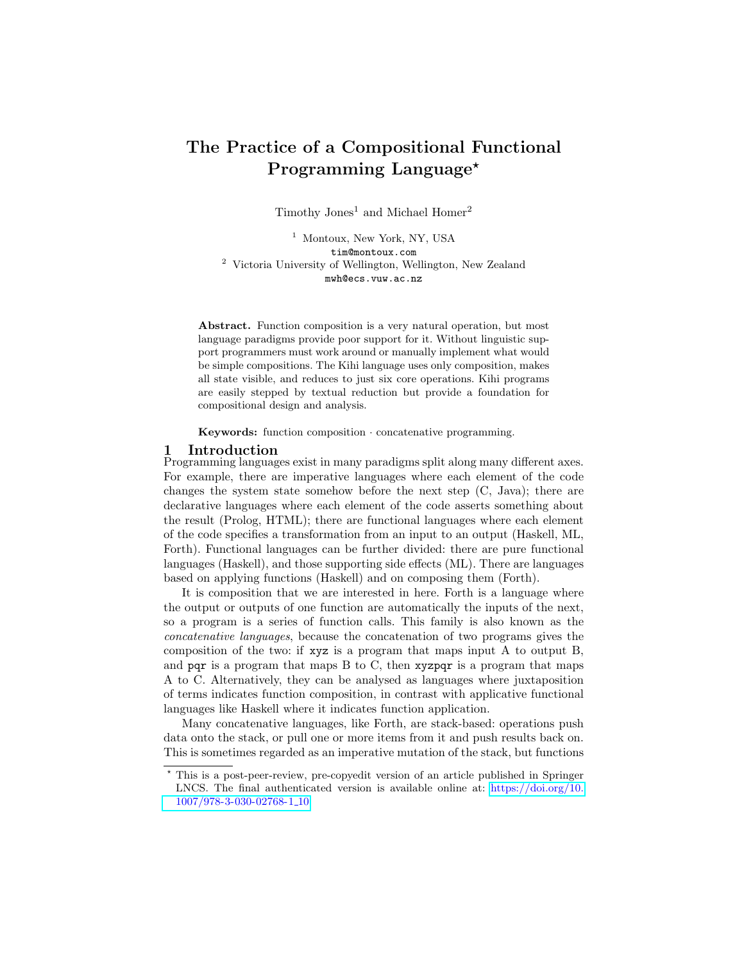# The Practice of a Compositional Functional Programming Language<sup>\*</sup>

Timothy Jones<sup>1</sup> and Michael Homer<sup>2</sup>

<sup>1</sup> Montoux, New York, NY, USA tim@montoux.com <sup>2</sup> Victoria University of Wellington, Wellington, New Zealand mwh@ecs.vuw.ac.nz

Abstract. Function composition is a very natural operation, but most language paradigms provide poor support for it. Without linguistic support programmers must work around or manually implement what would be simple compositions. The Kihi language uses only composition, makes all state visible, and reduces to just six core operations. Kihi programs are easily stepped by textual reduction but provide a foundation for compositional design and analysis.

Keywords: function composition · concatenative programming.

## 1 Introduction

Programming languages exist in many paradigms split along many different axes. For example, there are imperative languages where each element of the code changes the system state somehow before the next step (C, Java); there are declarative languages where each element of the code asserts something about the result (Prolog, HTML); there are functional languages where each element of the code specifies a transformation from an input to an output (Haskell, ML, Forth). Functional languages can be further divided: there are pure functional languages (Haskell), and those supporting side effects (ML). There are languages based on applying functions (Haskell) and on composing them (Forth).

It is composition that we are interested in here. Forth is a language where the output or outputs of one function are automatically the inputs of the next, so a program is a series of function calls. This family is also known as the concatenative languages, because the concatenation of two programs gives the composition of the two: if xyz is a program that maps input A to output B, and  $pqr$  is a program that maps B to C, then  $xyzpqr$  is a program that maps A to C. Alternatively, they can be analysed as languages where juxtaposition of terms indicates function composition, in contrast with applicative functional languages like Haskell where it indicates function application.

Many concatenative languages, like Forth, are stack-based: operations push data onto the stack, or pull one or more items from it and push results back on. This is sometimes regarded as an imperative mutation of the stack, but functions

<sup>?</sup> This is a post-peer-review, pre-copyedit version of an article published in Springer LNCS. The final authenticated version is available online at: [https://doi.org/10.](https://doi.org/10.1007/978-3-030-02768-1_10) [1007/978-3-030-02768-1](https://doi.org/10.1007/978-3-030-02768-1_10) 10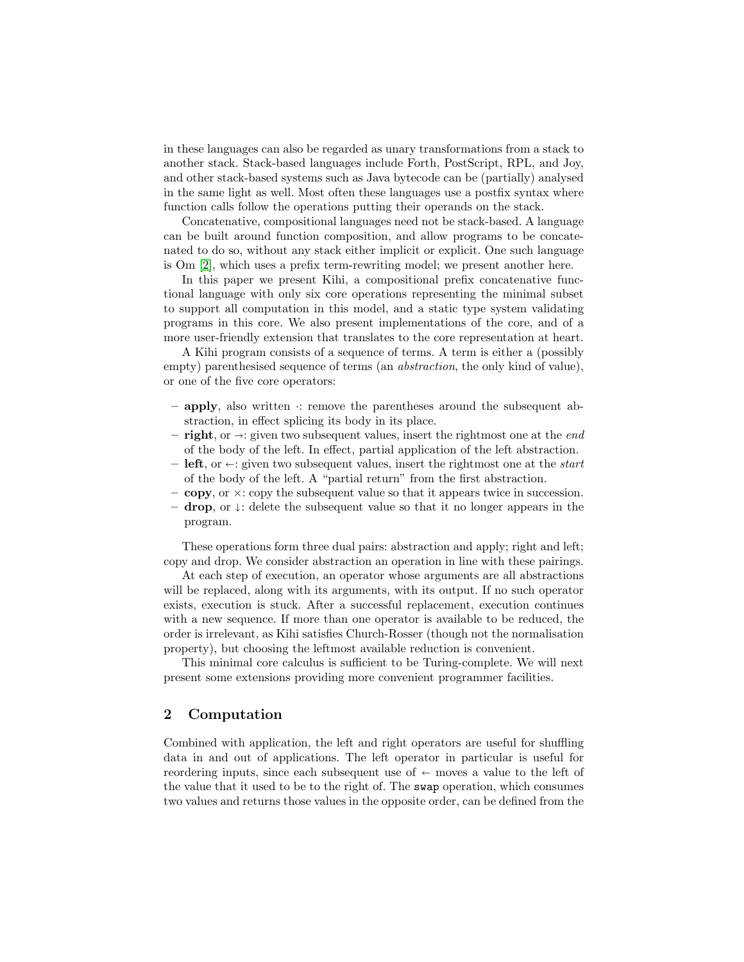in these languages can also be regarded as unary transformations from a stack to another stack. Stack-based languages include Forth, PostScript, RPL, and Joy, and other stack-based systems such as Java bytecode can be (partially) analysed in the same light as well. Most often these languages use a postfix syntax where function calls follow the operations putting their operands on the stack.

Concatenative, compositional languages need not be stack-based. A language can be built around function composition, and allow programs to be concatenated to do so, without any stack either implicit or explicit. One such language is Om [\[2\]](#page-9-0), which uses a prefix term-rewriting model; we present another here.

In this paper we present Kihi, a compositional prefix concatenative functional language with only six core operations representing the minimal subset to support all computation in this model, and a static type system validating programs in this core. We also present implementations of the core, and of a more user-friendly extension that translates to the core representation at heart.

A Kihi program consists of a sequence of terms. A term is either a (possibly empty) parenthesised sequence of terms (an *abstraction*, the only kind of value), or one of the five core operators:

- apply, also written ·: remove the parentheses around the subsequent abstraction, in effect splicing its body in its place.
- right, or  $\rightarrow$ : given two subsequent values, insert the rightmost one at the *end* of the body of the left. In effect, partial application of the left abstraction.
- left, or  $\leftarrow$ : given two subsequent values, insert the rightmost one at the *start* of the body of the left. A "partial return" from the first abstraction.
- copy, or ×: copy the subsequent value so that it appears twice in succession.
- $-$  drop, or  $\downarrow$ : delete the subsequent value so that it no longer appears in the program.

These operations form three dual pairs: abstraction and apply; right and left; copy and drop. We consider abstraction an operation in line with these pairings.

At each step of execution, an operator whose arguments are all abstractions will be replaced, along with its arguments, with its output. If no such operator exists, execution is stuck. After a successful replacement, execution continues with a new sequence. If more than one operator is available to be reduced, the order is irrelevant, as Kihi satisfies Church-Rosser (though not the normalisation property), but choosing the leftmost available reduction is convenient.

This minimal core calculus is sufficient to be Turing-complete. We will next present some extensions providing more convenient programmer facilities.

# 2 Computation

Combined with application, the left and right operators are useful for shuffling data in and out of applications. The left operator in particular is useful for reordering inputs, since each subsequent use of  $\leftarrow$  moves a value to the left of the value that it used to be to the right of. The swap operation, which consumes two values and returns those values in the opposite order, can be defined from the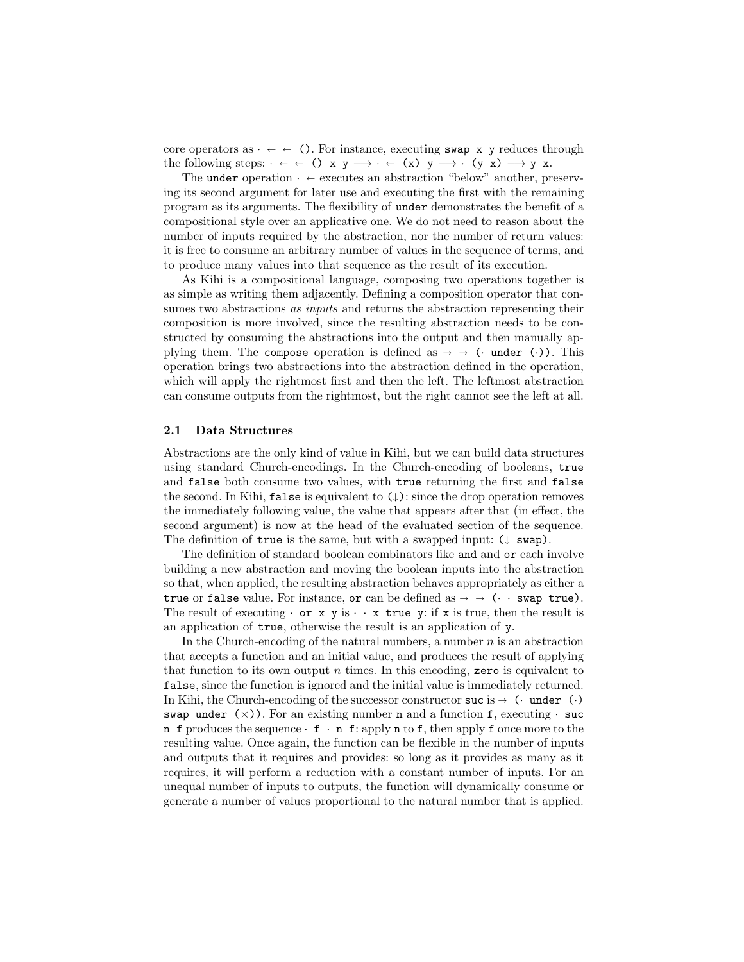core operators as  $\cdot \leftarrow \leftarrow$  (). For instance, executing swap x y reduces through the following steps:  $\cdot \leftarrow \leftarrow (x \times y \rightarrow \cdot \leftarrow (x \times y \rightarrow \cdot \left( y \times x \right) \rightarrow y \times x$ .

The under operation  $\cdot \leftarrow$  executes an abstraction "below" another, preserving its second argument for later use and executing the first with the remaining program as its arguments. The flexibility of under demonstrates the benefit of a compositional style over an applicative one. We do not need to reason about the number of inputs required by the abstraction, nor the number of return values: it is free to consume an arbitrary number of values in the sequence of terms, and to produce many values into that sequence as the result of its execution.

As Kihi is a compositional language, composing two operations together is as simple as writing them adjacently. Defining a composition operator that consumes two abstractions *as inputs* and returns the abstraction representing their composition is more involved, since the resulting abstraction needs to be constructed by consuming the abstractions into the output and then manually applying them. The compose operation is defined as  $\rightarrow \rightarrow ($  under (·)). This operation brings two abstractions into the abstraction defined in the operation, which will apply the rightmost first and then the left. The leftmost abstraction can consume outputs from the rightmost, but the right cannot see the left at all.

#### 2.1 Data Structures

Abstractions are the only kind of value in Kihi, but we can build data structures using standard Church-encodings. In the Church-encoding of booleans, true and false both consume two values, with true returning the first and false the second. In Kihi, false is equivalent to  $(\downarrow)$ : since the drop operation removes the immediately following value, the value that appears after that (in effect, the second argument) is now at the head of the evaluated section of the sequence. The definition of true is the same, but with a swapped input:  $(1 \text{ swap})$ .

The definition of standard boolean combinators like and and or each involve building a new abstraction and moving the boolean inputs into the abstraction so that, when applied, the resulting abstraction behaves appropriately as either a true or false value. For instance, or can be defined as  $\rightarrow \cdot \cdot \cdot$  swap true). The result of executing  $\cdot$  or x y is  $\cdot \cdot$  x true y: if x is true, then the result is an application of true, otherwise the result is an application of y.

In the Church-encoding of the natural numbers, a number  $n$  is an abstraction that accepts a function and an initial value, and produces the result of applying that function to its own output n times. In this encoding, zero is equivalent to false, since the function is ignored and the initial value is immediately returned. In Kihi, the Church-encoding of the successor constructor suc is  $\rightarrow$  ( $\cdot$  under ( $\cdot$ ) swap under  $(\times)$ ). For an existing number n and a function f, executing  $\cdot$  suc n f produces the sequence  $\cdot$  f  $\cdot$  n f: apply n to f, then apply f once more to the resulting value. Once again, the function can be flexible in the number of inputs and outputs that it requires and provides: so long as it provides as many as it requires, it will perform a reduction with a constant number of inputs. For an unequal number of inputs to outputs, the function will dynamically consume or generate a number of values proportional to the natural number that is applied.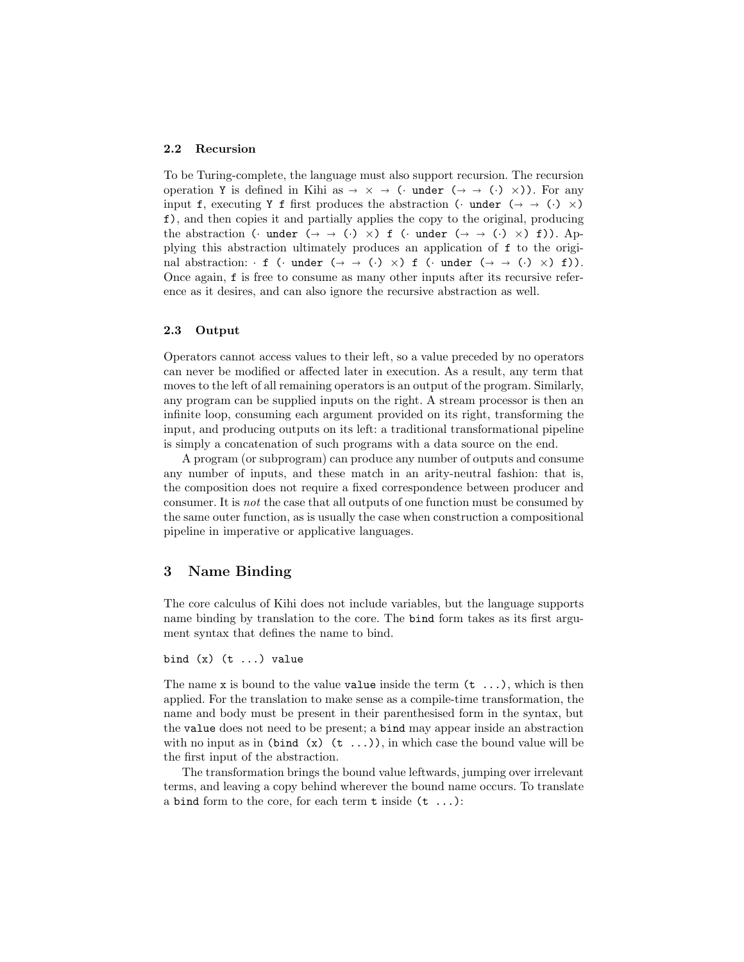#### 2.2 Recursion

To be Turing-complete, the language must also support recursion. The recursion operation Y is defined in Kihi as  $\rightarrow \times \rightarrow ($  under  $(\rightarrow \rightarrow (.) \times))$ . For any input f, executing Y f first produces the abstraction ( $\cdot$  under ( $\rightarrow$   $\rightarrow$   $\cdot$ )  $\times$ ) f), and then copies it and partially applies the copy to the original, producing the abstraction ( $\cdot$  under ( $\rightarrow$   $\rightarrow$  ( $\cdot$ )  $\times$ ) f ( $\cdot$  under ( $\rightarrow$   $\rightarrow$  ( $\cdot$ )  $\times$ ) f)). Applying this abstraction ultimately produces an application of f to the original abstraction:  $\cdot$  f  $(\cdot \text{ under } (\rightarrow \rightarrow (\cdot) \times) \text{ f } (\cdot \text{ under } (\rightarrow \rightarrow (\cdot) \times) \text{ f})).$ Once again, f is free to consume as many other inputs after its recursive reference as it desires, and can also ignore the recursive abstraction as well.

## 2.3 Output

Operators cannot access values to their left, so a value preceded by no operators can never be modified or affected later in execution. As a result, any term that moves to the left of all remaining operators is an output of the program. Similarly, any program can be supplied inputs on the right. A stream processor is then an infinite loop, consuming each argument provided on its right, transforming the input, and producing outputs on its left: a traditional transformational pipeline is simply a concatenation of such programs with a data source on the end.

A program (or subprogram) can produce any number of outputs and consume any number of inputs, and these match in an arity-neutral fashion: that is, the composition does not require a fixed correspondence between producer and consumer. It is not the case that all outputs of one function must be consumed by the same outer function, as is usually the case when construction a compositional pipeline in imperative or applicative languages.

# 3 Name Binding

The core calculus of Kihi does not include variables, but the language supports name binding by translation to the core. The bind form takes as its first argument syntax that defines the name to bind.

```
bind (x) (t \ldots) value
```
The name x is bound to the value value inside the term  $(t \dots)$ , which is then applied. For the translation to make sense as a compile-time transformation, the name and body must be present in their parenthesised form in the syntax, but the value does not need to be present; a bind may appear inside an abstraction with no input as in (bind  $(x)$   $(t \ldots)$ ), in which case the bound value will be the first input of the abstraction.

The transformation brings the bound value leftwards, jumping over irrelevant terms, and leaving a copy behind wherever the bound name occurs. To translate a bind form to the core, for each term  $t$  inside  $(t \dots)$ :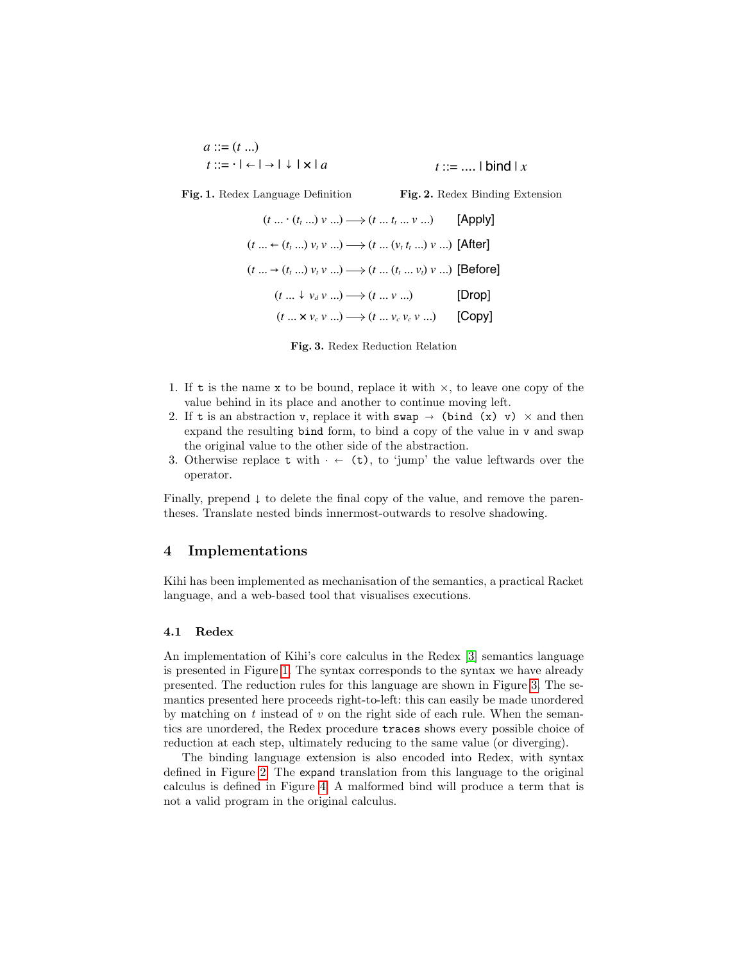$$
a ::= (t \dots)
$$
  

$$
t ::= \cdot | \leftarrow | \rightarrow | \downarrow | \times | a
$$
  

$$
t ::= \dots | \text{bind} | x
$$

Fig. 1. Redex Language Definition

<span id="page-4-2"></span>Fig. 2. Redex Binding Extension

<span id="page-4-0"></span>
$$
(t \dots \cdot (t_t \dots) \vee \dots) \longrightarrow (t \dots t_t \dots \vee \dots) \qquad \text{[Apply]}
$$
\n
$$
(t \dots \leftarrow (t_t \dots) \vee_t \vee \dots) \longrightarrow (t \dots (\vee_t t_t \dots) \vee \dots) \text{ [After]}
$$
\n
$$
(t \dots \rightarrow (t_t \dots) \vee_t \vee \dots) \longrightarrow (t \dots (t_t \dots \vee_t) \vee \dots) \text{ [Before]}
$$
\n
$$
(t \dots \vee t \vee_t \vee \dots) \longrightarrow (t \dots \vee \dots) \qquad \text{[Drop]}
$$
\n
$$
(t \dots \times \vee_t \vee \dots) \longrightarrow (t \dots \vee_t \vee \dots) \qquad \text{[Copy]}
$$

<span id="page-4-1"></span>

- 1. If t is the name x to be bound, replace it with  $\times$ , to leave one copy of the value behind in its place and another to continue moving left.
- 2. If t is an abstraction v, replace it with swap  $\rightarrow$  (bind (x) v)  $\times$  and then expand the resulting bind form, to bind a copy of the value in v and swap the original value to the other side of the abstraction.
- 3. Otherwise replace t with  $\cdot \leftarrow$  (t), to 'jump' the value leftwards over the operator.

Finally, prepend  $\downarrow$  to delete the final copy of the value, and remove the parentheses. Translate nested binds innermost-outwards to resolve shadowing.

## 4 Implementations

Kihi has been implemented as mechanisation of the semantics, a practical Racket language, and a web-based tool that visualises executions.

## 4.1 Redex

An implementation of Kihi's core calculus in the Redex [\[3\]](#page-9-1) semantics language is presented in Figure [1.](#page-4-0) The syntax corresponds to the syntax we have already presented. The reduction rules for this language are shown in Figure [3.](#page-4-1) The semantics presented here proceeds right-to-left: this can easily be made unordered by matching on  $t$  instead of  $v$  on the right side of each rule. When the semantics are unordered, the Redex procedure traces shows every possible choice of reduction at each step, ultimately reducing to the same value (or diverging).

The binding language extension is also encoded into Redex, with syntax defined in Figure [2.](#page-4-2) The expand translation from this language to the original calculus is defined in Figure [4.](#page-5-0) A malformed bind will produce a term that is not a valid program in the original calculus.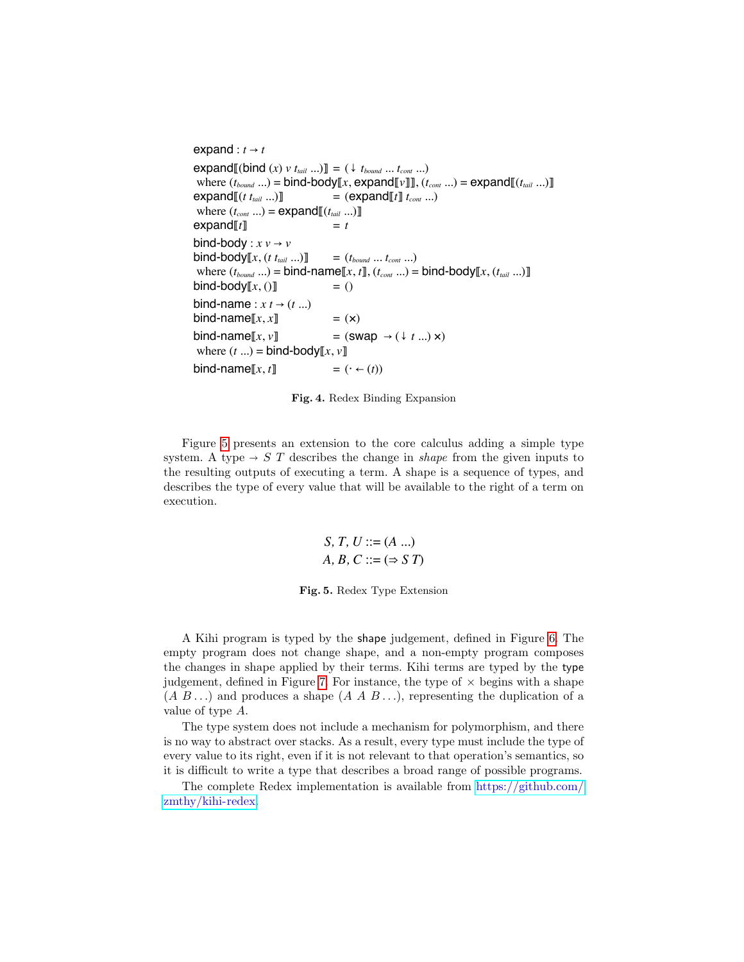```
expand : t \rightarrow texpand\llbracket(bind (x) v t_{tail} ...)\rrbracket = (\downarrow t_{bound} ... t_{cont} ...)where (t_{bound} ...) = bind-body\llbracket x, expand\llbracket v \rrbracket, (t_{cont} ...) = expand\llbracket (t_{tail} ...) \rrbracket\text{expand}[[t \ t_{tail} \ldots]] = (\text{expand}[[t \ t_{cont} \ldots]]where (t_{cont} ...) = expand[[ (t_{tail} ...) ]]\exp \text{and} \llbracket t \rrbracket = t
bind-body : x v \rightarrow v\text{bind-body}[[x, (t \ t_{tail} \ldots)]] = (t_{bound} \ldots t_{cont} \ldots)where (t_{bound} ...) = bind-name\llbracket x, t \rrbracket, (t_{cont} ...) = bind-body\llbracket x, (t_{tail} ...) \rrbracketbind-body[x, ()] = ()
bind-name : x t \rightarrow (t ...)bind-name\llbracket x, x \rrbracket = (\mathsf{x})bind-name\llbracket x, v \rrbracket = (swap \rightarrow (\downarrow t ...) \times)
where (t \ldots) = \text{bind-body}[[x, v]]bind-name\llbracket x, t \rrbracket = (\cdot \leftarrow (t))
```
<span id="page-5-0"></span>Fig. 4. Redex Binding Expansion

Figure [5](#page-5-1) presents an extension to the core calculus adding a simple type system. A type  $\rightarrow$  S T describes the change in *shape* from the given inputs to the resulting outputs of executing a term. A shape is a sequence of types, and describes the type of every value that will be available to the right of a term on execution.

> S, T,  $U ::= (A \dots)$ A, B, C ::=  $(\Rightarrow S T)$

#### <span id="page-5-1"></span>Fig. 5. Redex Type Extension

A Kihi program is typed by the shape judgement, defined in Figure [6.](#page-6-0) The empty program does not change shape, and a non-empty program composes the changes in shape applied by their terms. Kihi terms are typed by the type judgement, defined in Figure [7.](#page-7-0) For instance, the type of  $\times$  begins with a shape  $(A \ B \dots)$  and produces a shape  $(A \ A \ B \dots)$ , representing the duplication of a value of type A.

The type system does not include a mechanism for polymorphism, and there is no way to abstract over stacks. As a result, every type must include the type of every value to its right, even if it is not relevant to that operation's semantics, so it is difficult to write a type that describes a broad range of possible programs.

The complete Redex implementation is available from [https://github.com/](https://github.com/zmthy/kihi-redex) [zmthy/kihi-redex.](https://github.com/zmthy/kihi-redex)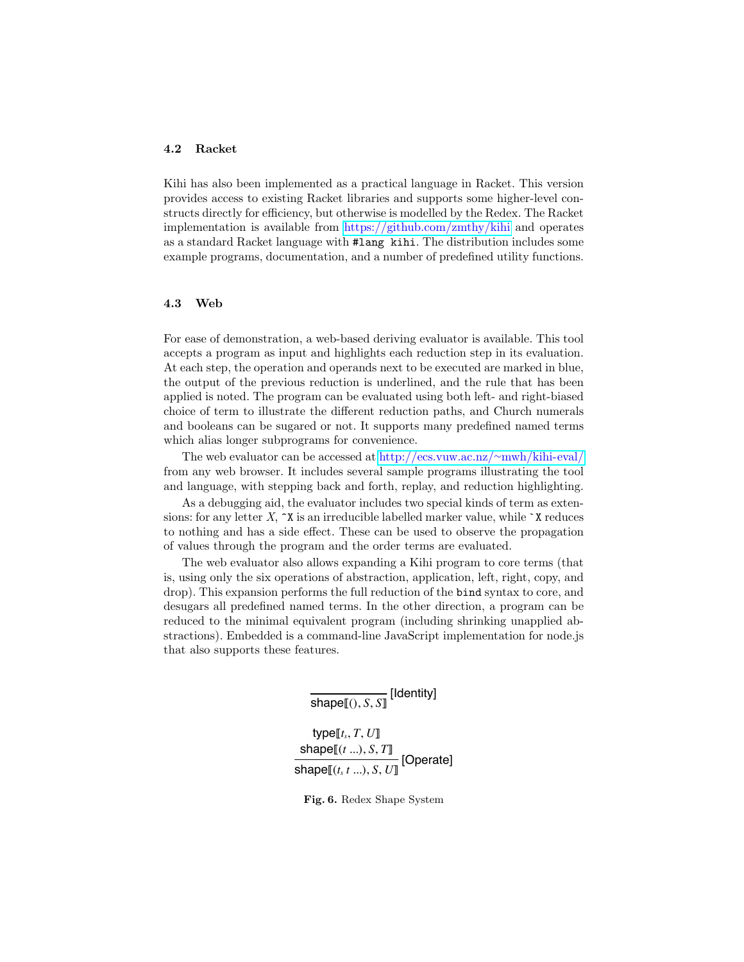#### 4.2 Racket

Kihi has also been implemented as a practical language in Racket. This version provides access to existing Racket libraries and supports some higher-level constructs directly for efficiency, but otherwise is modelled by the Redex. The Racket implementation is available from <https://github.com/zmthy/kihi> and operates as a standard Racket language with #lang kihi. The distribution includes some example programs, documentation, and a number of predefined utility functions.

#### 4.3 Web

For ease of demonstration, a web-based deriving evaluator is available. This tool accepts a program as input and highlights each reduction step in its evaluation. At each step, the operation and operands next to be executed are marked in blue, the output of the previous reduction is underlined, and the rule that has been applied is noted. The program can be evaluated using both left- and right-biased choice of term to illustrate the different reduction paths, and Church numerals and booleans can be sugared or not. It supports many predefined named terms which alias longer subprograms for convenience.

The web evaluator can be accessed at [http://ecs.vuw.ac.nz/](http://ecs.vuw.ac.nz/~mwh/kihi-eval/)∼mwh/kihi-eval/ from any web browser. It includes several sample programs illustrating the tool and language, with stepping back and forth, replay, and reduction highlighting.

As a debugging aid, the evaluator includes two special kinds of term as extensions: for any letter  $X$ ,  $\tilde{X}$  is an irreducible labelled marker value, while  $\tilde{X}$  reduces to nothing and has a side effect. These can be used to observe the propagation of values through the program and the order terms are evaluated.

The web evaluator also allows expanding a Kihi program to core terms (that is, using only the six operations of abstraction, application, left, right, copy, and drop). This expansion performs the full reduction of the bind syntax to core, and desugars all predefined named terms. In the other direction, a program can be reduced to the minimal equivalent program (including shrinking unapplied abstractions). Embedded is a command-line JavaScript implementation for node.js that also supports these features.

 $\frac{1}{\mathsf{shape}(\mathbb{I}(0, S, S))}$  [Identity]

type $\llbracket t_s, T, U \rrbracket$ shape $\llbracket(t...), S, T\rrbracket$  $\frac{1}{\text{shape}[(t_s t \ldots), S, U]}$  [Operate]

<span id="page-6-0"></span>Fig. 6. Redex Shape System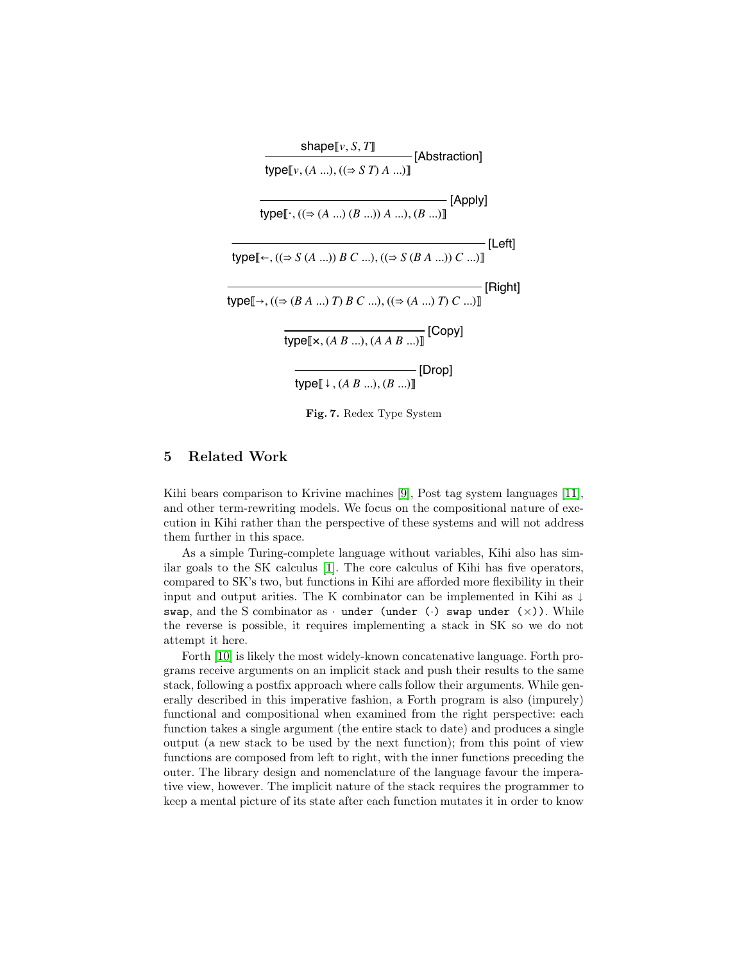

<span id="page-7-0"></span>Fig. 7. Redex Type System

# 5 Related Work

Kihi bears comparison to Krivine machines [\[9\]](#page-9-2), Post tag system languages [\[11\]](#page-9-3), and other term-rewriting models. We focus on the compositional nature of execution in Kihi rather than the perspective of these systems and will not address them further in this space.

As a simple Turing-complete language without variables, Kihi also has similar goals to the SK calculus [\[1\]](#page-9-4). The core calculus of Kihi has five operators, compared to SK's two, but functions in Kihi are afforded more flexibility in their input and output arities. The K combinator can be implemented in Kihi as  $\downarrow$ swap, and the S combinator as  $\cdot$  under (via the under  $(\cdot)$ ). While the reverse is possible, it requires implementing a stack in SK so we do not attempt it here.

Forth [\[10\]](#page-9-5) is likely the most widely-known concatenative language. Forth programs receive arguments on an implicit stack and push their results to the same stack, following a postfix approach where calls follow their arguments. While generally described in this imperative fashion, a Forth program is also (impurely) functional and compositional when examined from the right perspective: each function takes a single argument (the entire stack to date) and produces a single output (a new stack to be used by the next function); from this point of view functions are composed from left to right, with the inner functions preceding the outer. The library design and nomenclature of the language favour the imperative view, however. The implicit nature of the stack requires the programmer to keep a mental picture of its state after each function mutates it in order to know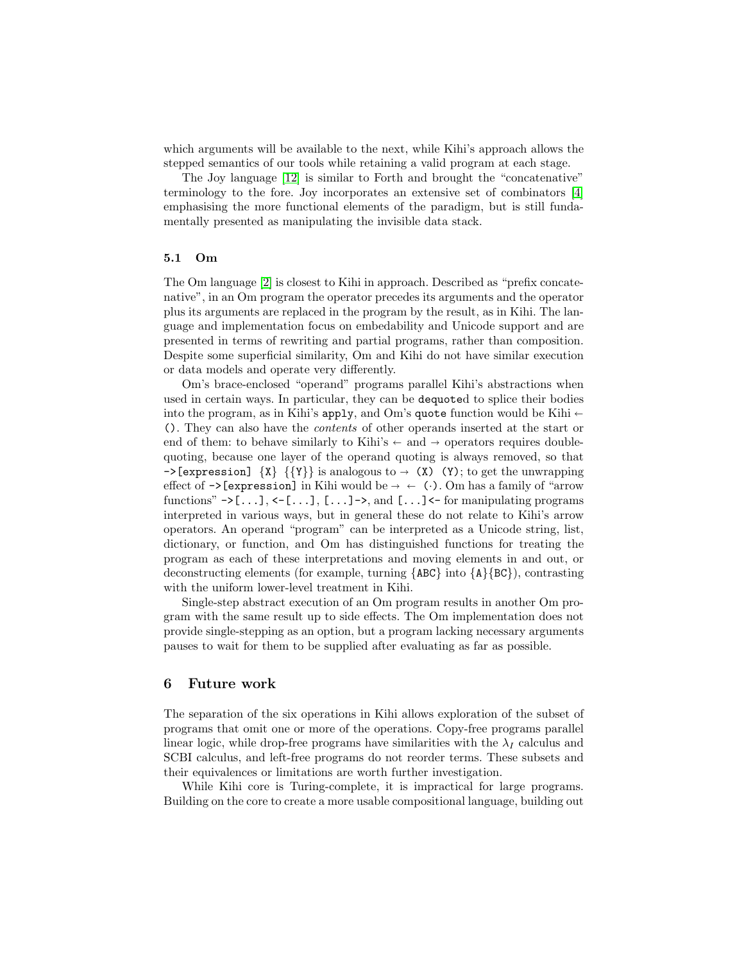which arguments will be available to the next, while Kihi's approach allows the stepped semantics of our tools while retaining a valid program at each stage.

The Joy language [\[12\]](#page-9-6) is similar to Forth and brought the "concatenative" terminology to the fore. Joy incorporates an extensive set of combinators [\[4\]](#page-9-7) emphasising the more functional elements of the paradigm, but is still fundamentally presented as manipulating the invisible data stack.

#### 5.1 Om

The Om language [\[2\]](#page-9-0) is closest to Kihi in approach. Described as "prefix concatenative", in an Om program the operator precedes its arguments and the operator plus its arguments are replaced in the program by the result, as in Kihi. The language and implementation focus on embedability and Unicode support and are presented in terms of rewriting and partial programs, rather than composition. Despite some superficial similarity, Om and Kihi do not have similar execution or data models and operate very differently.

Om's brace-enclosed "operand" programs parallel Kihi's abstractions when used in certain ways. In particular, they can be dequoted to splice their bodies into the program, as in Kihi's apply, and Om's quote function would be Kihi $\leftarrow$ (). They can also have the contents of other operands inserted at the start or end of them: to behave similarly to Kihi's  $\leftarrow$  and  $\rightarrow$  operators requires doublequoting, because one layer of the operand quoting is always removed, so that  $\rightarrow$  [expression]  $\{X\}$   $\{\{Y\}\}\$ is analogous to  $\rightarrow$  (X) (Y); to get the unwrapping effect of  $\rightarrow$  [expression] in Kihi would be  $\rightarrow \leftarrow (\cdot)$ . Om has a family of "arrow functions"  $\rightarrow$  [...], < - [...], [...] ->, and [...] < - for manipulating programs interpreted in various ways, but in general these do not relate to Kihi's arrow operators. An operand "program" can be interpreted as a Unicode string, list, dictionary, or function, and Om has distinguished functions for treating the program as each of these interpretations and moving elements in and out, or deconstructing elements (for example, turning {ABC} into {A}{BC}), contrasting with the uniform lower-level treatment in Kihi.

Single-step abstract execution of an Om program results in another Om program with the same result up to side effects. The Om implementation does not provide single-stepping as an option, but a program lacking necessary arguments pauses to wait for them to be supplied after evaluating as far as possible.

## 6 Future work

The separation of the six operations in Kihi allows exploration of the subset of programs that omit one or more of the operations. Copy-free programs parallel linear logic, while drop-free programs have similarities with the  $\lambda_I$  calculus and SCBI calculus, and left-free programs do not reorder terms. These subsets and their equivalences or limitations are worth further investigation.

While Kihi core is Turing-complete, it is impractical for large programs. Building on the core to create a more usable compositional language, building out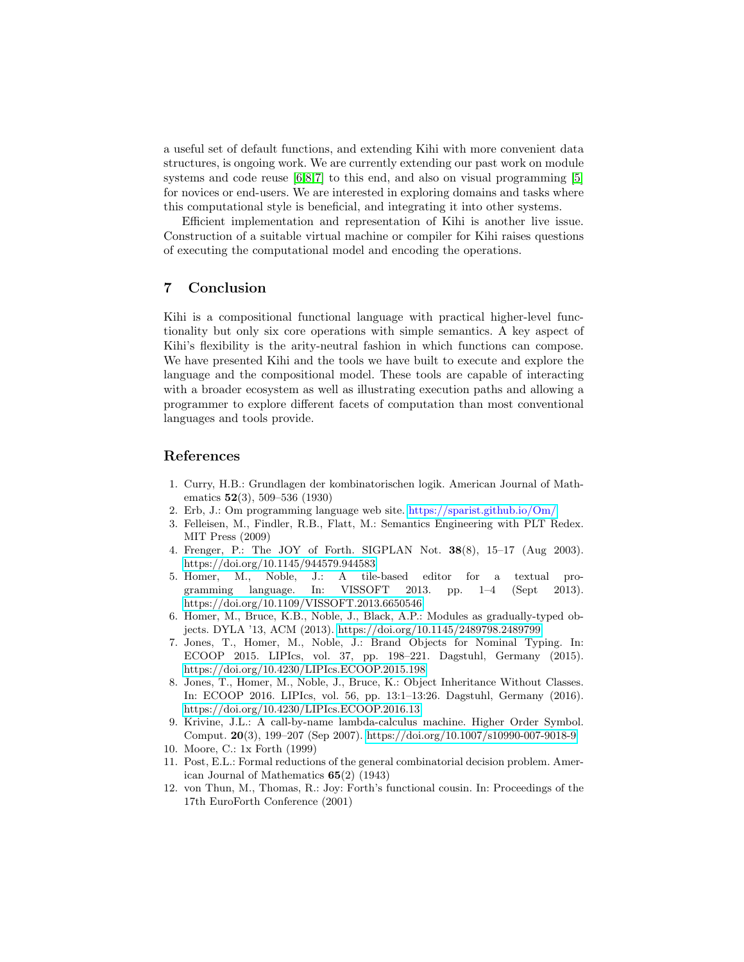a useful set of default functions, and extending Kihi with more convenient data structures, is ongoing work. We are currently extending our past work on module systems and code reuse [\[6,](#page-9-8)[8,](#page-9-9)[7\]](#page-9-10) to this end, and also on visual programming [\[5\]](#page-9-11) for novices or end-users. We are interested in exploring domains and tasks where this computational style is beneficial, and integrating it into other systems.

Efficient implementation and representation of Kihi is another live issue. Construction of a suitable virtual machine or compiler for Kihi raises questions of executing the computational model and encoding the operations.

# 7 Conclusion

Kihi is a compositional functional language with practical higher-level functionality but only six core operations with simple semantics. A key aspect of Kihi's flexibility is the arity-neutral fashion in which functions can compose. We have presented Kihi and the tools we have built to execute and explore the language and the compositional model. These tools are capable of interacting with a broader ecosystem as well as illustrating execution paths and allowing a programmer to explore different facets of computation than most conventional languages and tools provide.

## References

- <span id="page-9-4"></span>1. Curry, H.B.: Grundlagen der kombinatorischen logik. American Journal of Mathematics 52(3), 509–536 (1930)
- <span id="page-9-0"></span>2. Erb, J.: Om programming language web site. <https://sparist.github.io/Om/>
- <span id="page-9-1"></span>3. Felleisen, M., Findler, R.B., Flatt, M.: Semantics Engineering with PLT Redex. MIT Press (2009)
- <span id="page-9-7"></span>4. Frenger, P.: The JOY of Forth. SIGPLAN Not. 38(8), 15–17 (Aug 2003). <https://doi.org/10.1145/944579.944583>
- <span id="page-9-11"></span>5. Homer, M., Noble, J.: A tile-based editor for a textual programming language. In: VISSOFT 2013. pp. 1–4 (Sept 2013). <https://doi.org/10.1109/VISSOFT.2013.6650546>
- <span id="page-9-8"></span>6. Homer, M., Bruce, K.B., Noble, J., Black, A.P.: Modules as gradually-typed objects. DYLA '13, ACM (2013).<https://doi.org/10.1145/2489798.2489799>
- <span id="page-9-10"></span>7. Jones, T., Homer, M., Noble, J.: Brand Objects for Nominal Typing. In: ECOOP 2015. LIPIcs, vol. 37, pp. 198–221. Dagstuhl, Germany (2015). <https://doi.org/10.4230/LIPIcs.ECOOP.2015.198>
- <span id="page-9-9"></span>8. Jones, T., Homer, M., Noble, J., Bruce, K.: Object Inheritance Without Classes. In: ECOOP 2016. LIPIcs, vol. 56, pp. 13:1–13:26. Dagstuhl, Germany (2016). <https://doi.org/10.4230/LIPIcs.ECOOP.2016.13>
- <span id="page-9-2"></span>9. Krivine, J.L.: A call-by-name lambda-calculus machine. Higher Order Symbol. Comput. 20(3), 199–207 (Sep 2007).<https://doi.org/10.1007/s10990-007-9018-9>
- <span id="page-9-5"></span>10. Moore, C.: 1x Forth (1999)
- <span id="page-9-3"></span>11. Post, E.L.: Formal reductions of the general combinatorial decision problem. American Journal of Mathematics 65(2) (1943)
- <span id="page-9-6"></span>12. von Thun, M., Thomas, R.: Joy: Forth's functional cousin. In: Proceedings of the 17th EuroForth Conference (2001)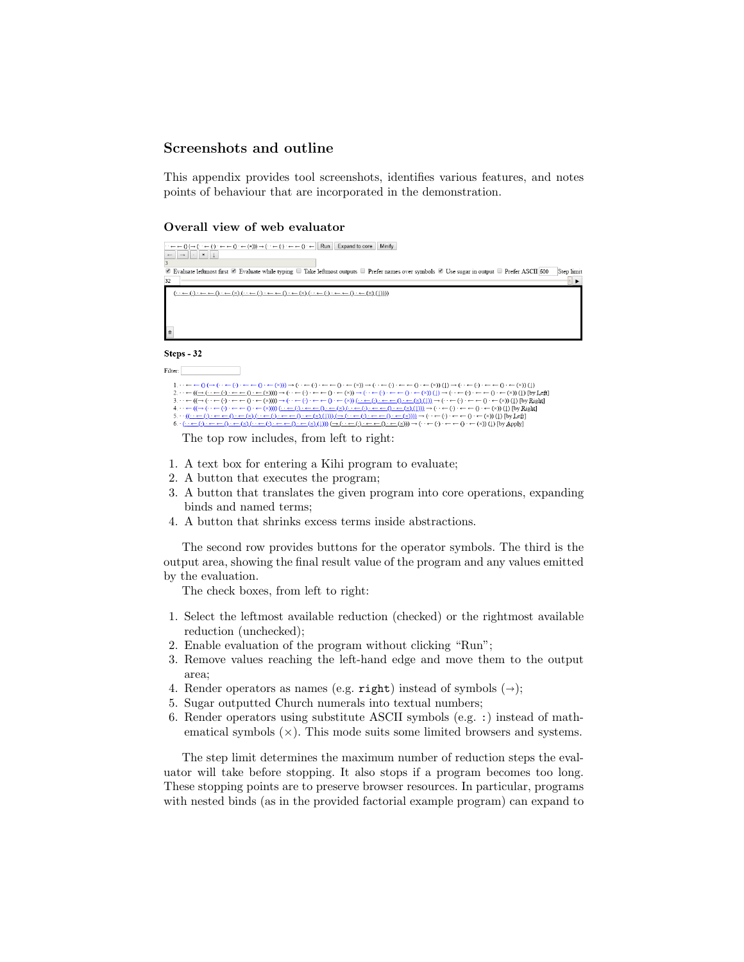# Screenshots and outline

This appendix provides tool screenshots, identifies various features, and notes points of behaviour that are incorporated in the demonstration.

#### Overall view of web evaluator



 $1.~\cdot \cdot \cdot \leftarrow \leftarrow 0~\left( \to (\cdot \cdot \leftarrow (\cdot)~\cdot \leftarrow \leftarrow 0~\cdot~\cdot~\leftarrow (\cdot)) \right) \to (\cdot \cdot \leftarrow (\cdot)~\cdot \leftarrow \leftarrow 0~\cdot~\leftarrow (\cdot)~\cdot \leftarrow (\cdot)~\cdot~\leftarrow (\cdot)~\cdot~\leftarrow \leftarrow 0~\cdot~\leftarrow (\cdot)~\cdot \leftarrow (\cdot)~\cdot~\leftarrow (\cdot)~\cdot~\leftarrow (\cdot)~\cdot~\leftarrow (\cdot)~\cdot~\leftarrow (\cdot)~\cdot~\leftarrow (\cdot)~\cdot~\leftarrow (\cdot)~\cdot~\leftarrow (\cdot)~\cdot~\leftarrow$ 1.  $\frac{1}{2}$  ...  $\frac{1}{2}$  ...  $\frac{1}{2}$  ...  $\frac{1}{2}$  ...  $\frac{1}{2}$  ...  $\frac{1}{2}$  ...  $\frac{1}{2}$  ...  $\frac{1}{2}$  ...  $\frac{1}{2}$  ...  $\frac{1}{2}$  ...  $\frac{1}{2}$  ...  $\frac{1}{2}$  ...  $\frac{1}{2}$  ...  $\frac{1}{2}$  ...  $\frac{1}{2}$  ...  $\frac{1}{2}$ 

The top row includes, from left to right:

- 1. A text box for entering a Kihi program to evaluate;
- 2. A button that executes the program;
- 3. A button that translates the given program into core operations, expanding binds and named terms;
- 4. A button that shrinks excess terms inside abstractions.

The second row provides buttons for the operator symbols. The third is the output area, showing the final result value of the program and any values emitted by the evaluation.

The check boxes, from left to right:

- 1. Select the leftmost available reduction (checked) or the rightmost available reduction (unchecked);
- 2. Enable evaluation of the program without clicking "Run";
- 3. Remove values reaching the left-hand edge and move them to the output area;
- 4. Render operators as names (e.g. right) instead of symbols  $(\rightarrow)$ ;
- 5. Sugar outputted Church numerals into textual numbers;
- 6. Render operators using substitute ASCII symbols (e.g. :) instead of mathematical symbols  $(x)$ . This mode suits some limited browsers and systems.

The step limit determines the maximum number of reduction steps the evaluator will take before stopping. It also stops if a program becomes too long. These stopping points are to preserve browser resources. In particular, programs with nested binds (as in the provided factorial example program) can expand to